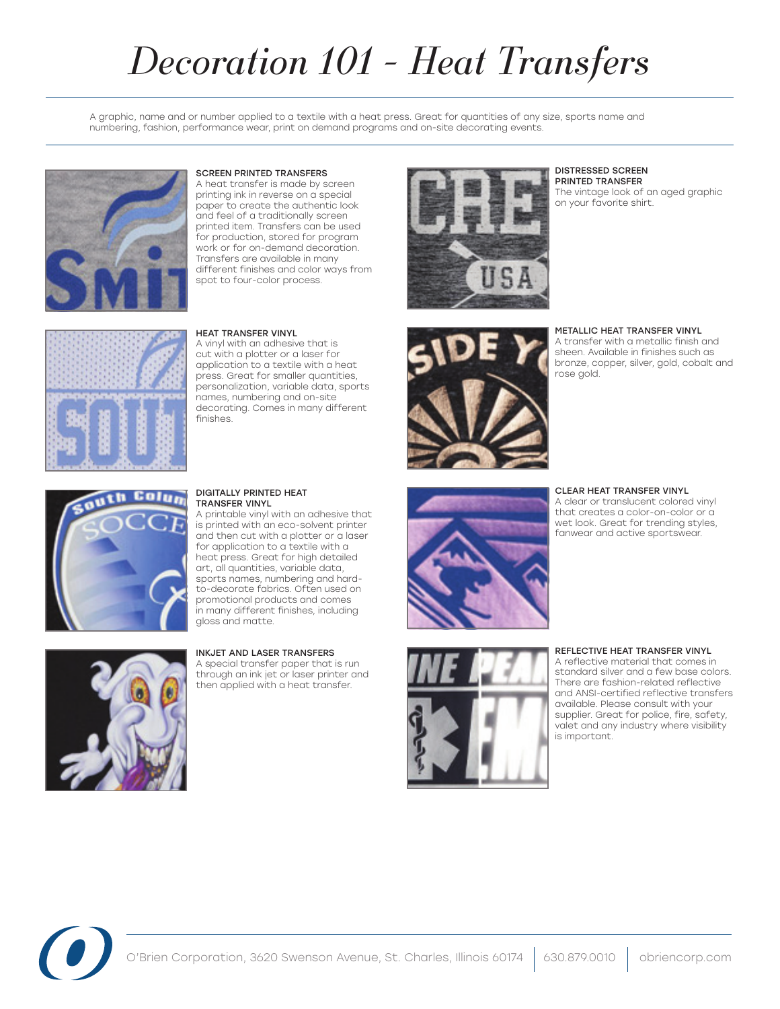# *Decoration 101 - Heat Transfers*

A graphic, name and or number applied to a textile with a heat press. Great for quantities of any size, sports name and numbering, fashion, performance wear, print on demand programs and on-site decorating events.



# Screen Printed Transfers

A heat transfer is made by screen printing ink in reverse on a special paper to create the authentic look and feel of a traditionally screen printed item. Transfers can be used for production, stored for program work or for on-demand decoration. Transfers are available in many different finishes and color ways from spot to four-color process.

Heat Transfer Vinyl



Distressed Screen Printed Transfer The vintage look of an aged graphic on your favorite shirt.



A vinyl with an adhesive that is cut with a plotter or a laser for application to a textile with a heat press. Great for smaller quantities, personalization, variable data, sports names, numbering and on-site decorating. Comes in many different finishes.



Metallic Heat Transfer Vinyl A transfer with a metallic finish and sheen. Available in finishes such as bronze, copper, silver, gold, cobalt and rose gold.



#### Digitally Printed Heat Transfer Vinyl

A printable vinyl with an adhesive that is printed with an eco-solvent printer and then cut with a plotter or a laser for application to a textile with a heat press. Great for high detailed art, all quantities, variable data, sports names, numbering and hardto-decorate fabrics. Often used on promotional products and comes in many different finishes, including gloss and matte.



Inkjet and Laser Transfers A special transfer paper that is run through an ink jet or laser printer and

then applied with a heat transfer.





A clear or translucent colored vinyl that creates a color-on-color or a wet look. Great for trending styles, fanwear and active sportswear.



Reflective Heat Transfer Vinyl

A reflective material that comes in standard silver and a few base colors. There are fashion-related reflective and ANSI-certified reflective transfers available. Please consult with your supplier. Great for police, fire, safety, valet and any industry where visibility is important.